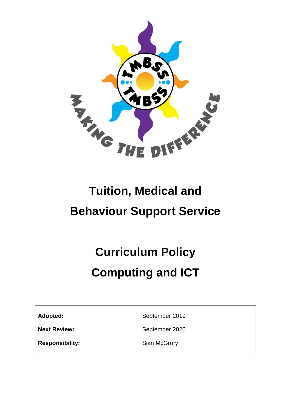

## **Tuition, Medical and Behaviour Support Service**

# **Curriculum Policy Computing and ICT**

Adopted: September 2019

**Next Review:** September 2020

**Responsibility:** Sian McGrory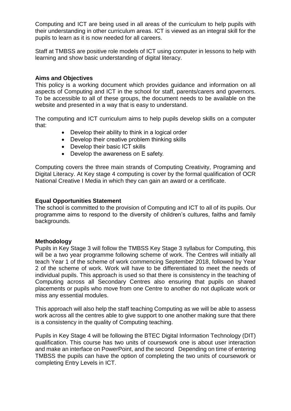Computing and ICT are being used in all areas of the curriculum to help pupils with their understanding in other curriculum areas. ICT is viewed as an integral skill for the pupils to learn as it is now needed for all careers.

Staff at TMBSS are positive role models of ICT using computer in lessons to help with learning and show basic understanding of digital literacy.

#### **Aims and Objectives**

This policy is a working document which provides guidance and information on all aspects of Computing and ICT in the school for staff, parents/carers and governors. To be accessible to all of these groups, the document needs to be available on the website and presented in a way that is easy to understand.

The computing and ICT curriculum aims to help pupils develop skills on a computer that:

- Develop their ability to think in a logical order
- Develop their creative problem thinking skills
- Develop their basic ICT skills
- Develop the awareness on E safety.

Computing covers the three main strands of Computing Creativity, Programing and Digital Literacy. At Key stage 4 computing is cover by the formal qualification of OCR National Creative I Media in which they can gain an award or a certificate.

#### **Equal Opportunities Statement**

The school is committed to the provision of Computing and ICT to all of its pupils. Our programme aims to respond to the diversity of children's cultures, faiths and family backgrounds.

#### **Methodology**

Pupils in Key Stage 3 will follow the TMBSS Key Stage 3 syllabus for Computing, this will be a two year programme following scheme of work. The Centres will initially all teach Year 1 of the scheme of work commencing September 2018, followed by Year 2 of the scheme of work. Work will have to be differentiated to meet the needs of individual pupils. This approach is used so that there is consistency in the teaching of Computing across all Secondary Centres also ensuring that pupils on shared placements or pupils who move from one Centre to another do not duplicate work or miss any essential modules.

This approach will also help the staff teaching Computing as we will be able to assess work across all the centres able to give support to one another making sure that there is a consistency in the quality of Computing teaching.

Pupils in Key Stage 4 will be following the BTEC Digital Information Technology (DIT) qualification. This course has two units of coursework one is about user interaction and make an interface on PowerPoint, and the second Depending on time of entering TMBSS the pupils can have the option of completing the two units of coursework or completing Entry Levels in ICT.